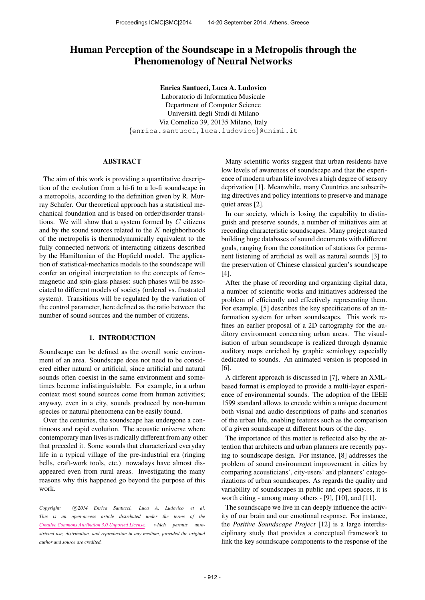# Human Perception of the Soundscape in a Metropolis through the Phenomenology of Neural Networks

Enrica Santucci, Luca A. Ludovico

Laboratorio di Informatica Musicale Department of Computer Science Universita degli Studi di Milano ` Via Comelico 39, 20135 Milano, Italy {[enrica.santucci,luca.ludovico](mailto:enrica.santucci@unimi.it)}@unimi.it

## ABSTRACT

The aim of this work is providing a quantitative description of the evolution from a hi-fi to a lo-fi soundscape in a metropolis, according to the definition given by R. Murray Schafer. Our theoretical approach has a statistical mechanical foundation and is based on order/disorder transitions. We will show that a system formed by  $C$  citizens and by the sound sources related to the  $K$  neighborhoods of the metropolis is thermodynamically equivalent to the fully connected network of interacting citizens described by the Hamiltonian of the Hopfield model. The application of statistical-mechanics models to the soundscape will confer an original interpretation to the concepts of ferromagnetic and spin-glass phases: such phases will be associated to different models of society (ordered vs. frustrated system). Transitions will be regulated by the variation of the control parameter, here defined as the ratio between the number of sound sources and the number of citizens.

# 1. INTRODUCTION

Soundscape can be defined as the overall sonic environment of an area. Soundscape does not need to be considered either natural or artificial, since artificial and natural sounds often coexist in the same environment and sometimes become indistinguishable. For example, in a urban context most sound sources come from human activities; anyway, even in a city, sounds produced by non-human species or natural phenomena can be easily found.

Over the centuries, the soundscape has undergone a continuous and rapid evolution. The acoustic universe where contemporary man lives is radically different from any other that preceded it. Some sounds that characterized everyday life in a typical village of the pre-industrial era (ringing bells, craft-work tools, etc.) nowadays have almost disappeared even from rural areas. Investigating the many reasons why this happened go beyond the purpose of this work.

Copyright:  $\bigcirc$ 2014 Enrica Santucci, Luca A. Ludovico et al. *This is an open-access article distributed under the terms of the [Creative Commons Attribution 3.0 Unported License,](http://creativecommons.org/licenses/by/3.0/) which permits unrestricted use, distribution, and reproduction in any medium, provided the original author and source are credited.*

Many scientific works suggest that urban residents have low levels of awareness of soundscape and that the experience of modern urban life involves a high degree of sensory deprivation [1]. Meanwhile, many Countries are subscribing directives and policy intentions to preserve and manage quiet areas [2].

In our society, which is losing the capability to distinguish and preserve sounds, a number of initiatives aim at recording characteristic soundscapes. Many project started building huge databases of sound documents with different goals, ranging from the constitution of stations for permanent listening of artificial as well as natural sounds [3] to the preservation of Chinese classical garden's soundscape [4].

After the phase of recording and organizing digital data, a number of scientific works and initiatives addressed the problem of efficiently and effectively representing them. For example, [5] describes the key specifications of an information system for urban soundscapes. This work refines an earlier proposal of a 2D cartography for the auditory environment concerning urban areas. The visualisation of urban soundscape is realized through dynamic auditory maps enriched by graphic semiology especially dedicated to sounds. An animated version is proposed in [6].

A different approach is discussed in [7], where an XMLbased format is employed to provide a multi-layer experience of environmental sounds. The adoption of the IEEE 1599 standard allows to encode within a unique document both visual and audio descriptions of paths and scenarios of the urban life, enabling features such as the comparison of a given soundscape at different hours of the day.

The importance of this matter is reflected also by the attention that architects and urban planners are recently paying to soundscape design. For instance, [8] addresses the problem of sound environment improvement in cities by comparing acousticians', city-users' and planners' categorizations of urban soundscapes. As regards the quality and variability of soundscapes in public and open spaces, it is worth citing - among many others - [9], [10], and [11].

The soundscape we live in can deeply influence the activity of our brain and our emotional response. For instance, the *Positive Soundscape Project* [12] is a large interdisciplinary study that provides a conceptual framework to link the key soundscape components to the response of the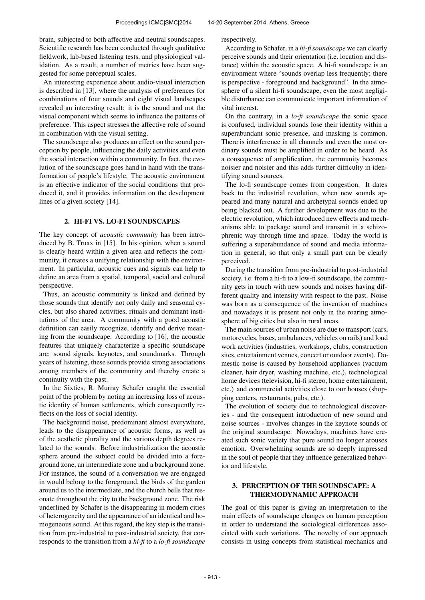brain, subjected to both affective and neutral soundscapes. Scientific research has been conducted through qualitative fieldwork, lab-based listening tests, and physiological validation. As a result, a number of metrics have been suggested for some perceptual scales.

An interesting experience about audio-visual interaction is described in [13], where the analysis of preferences for combinations of four sounds and eight visual landscapes revealed an interesting result: it is the sound and not the visual component which seems to influence the patterns of preference. This aspect stresses the affective role of sound in combination with the visual setting.

The soundscape also produces an effect on the sound perception by people, influencing the daily activities and even the social interaction within a community. In fact, the evolution of the soundscape goes hand in hand with the transformation of people's lifestyle. The acoustic environment is an effective indicator of the social conditions that produced it, and it provides information on the development lines of a given society [14].

# 2. HI-FI VS. LO-FI SOUNDSCAPES

The key concept of *acoustic community* has been introduced by B. Truax in [15]. In his opinion, when a sound is clearly heard within a given area and reflects the community, it creates a unifying relationship with the environment. In particular, acoustic cues and signals can help to define an area from a spatial, temporal, social and cultural perspective.

Thus, an acoustic community is linked and defined by those sounds that identify not only daily and seasonal cycles, but also shared activities, rituals and dominant institutions of the area. A community with a good acoustic definition can easily recognize, identify and derive meaning from the soundscape. According to [16], the acoustic features that uniquely characterize a specific soundscape are: sound signals, keynotes, and soundmarks. Through years of listening, these sounds provide strong associations among members of the community and thereby create a continuity with the past.

In the Sixties, R. Murray Schafer caught the essential point of the problem by noting an increasing loss of acoustic identity of human settlements, which consequently reflects on the loss of social identity.

The background noise, predominant almost everywhere, leads to the disappearance of acoustic forms, as well as of the aesthetic plurality and the various depth degrees related to the sounds. Before industrialization the acoustic sphere around the subject could be divided into a foreground zone, an intermediate zone and a background zone. For instance, the sound of a conversation we are engaged in would belong to the foreground, the birds of the garden around us to the intermediate, and the church bells that resonate throughout the city to the background zone. The risk underlined by Schafer is the disappearing in modern cities of heterogeneity and the appearance of an identical and homogeneous sound. At this regard, the key step is the transition from pre-industrial to post-industrial society, that corresponds to the transition from a *hi-fi* to a *lo-fi soundscape*

respectively.

According to Schafer, in a *hi-fi soundscape* we can clearly perceive sounds and their orientation (i.e. location and distance) within the acoustic space. A hi-fi soundscape is an environment where "sounds overlap less frequently; there is perspective - foreground and background". In the atmosphere of a silent hi-fi soundscape, even the most negligible disturbance can communicate important information of vital interest.

On the contrary, in a *lo-fi soundscape* the sonic space is confused, individual sounds lose their identity within a superabundant sonic presence, and masking is common. There is interference in all channels and even the most ordinary sounds must be amplified in order to be heard. As a consequence of amplification, the community becomes noisier and noisier and this adds further difficulty in identifying sound sources.

The lo-fi soundscape comes from congestion. It dates back to the industrial revolution, when new sounds appeared and many natural and archetypal sounds ended up being blacked out. A further development was due to the electric revolution, which introduced new effects and mechanisms able to package sound and transmit in a schizophrenic way through time and space. Today the world is suffering a superabundance of sound and media information in general, so that only a small part can be clearly perceived.

During the transition from pre-industrial to post-industrial society, i.e. from a hi-fi to a low-fi soundscape, the community gets in touch with new sounds and noises having different quality and intensity with respect to the past. Noise was born as a consequence of the invention of machines and nowadays it is present not only in the roaring atmosphere of big cities but also in rural areas.

The main sources of urban noise are due to transport (cars, motorcycles, buses, ambulances, vehicles on rails) and loud work activities (industries, workshops, clubs, construction sites, entertainment venues, concert or outdoor events). Domestic noise is caused by household appliances (vacuum cleaner, hair dryer, washing machine, etc.), technological home devices (television, hi-fi stereo, home entertainment, etc.) and commercial activities close to our houses (shopping centers, restaurants, pubs, etc.).

The evolution of society due to technological discoveries - and the consequent introduction of new sound and noise sources - involves changes in the keynote sounds of the original soundscape. Nowadays, machines have created such sonic variety that pure sound no longer arouses emotion. Overwhelming sounds are so deeply impressed in the soul of people that they influence generalized behavior and lifestyle.

# 3. PERCEPTION OF THE SOUNDSCAPE: A THERMODYNAMIC APPROACH

The goal of this paper is giving an interpretation to the main effects of soundscape changes on human perception in order to understand the sociological differences associated with such variations. The novelty of our approach consists in using concepts from statistical mechanics and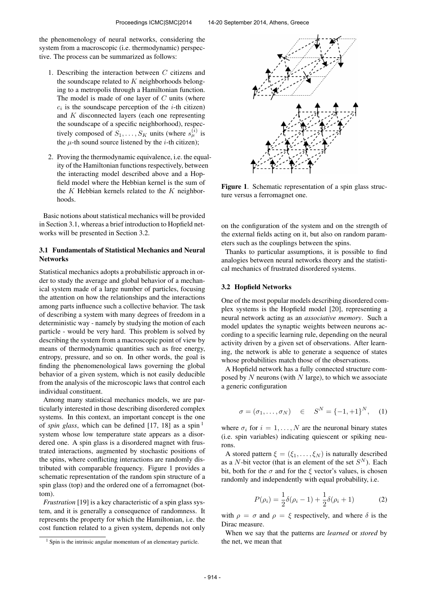the phenomenology of neural networks, considering the system from a macroscopic (i.e. thermodynamic) perspective. The process can be summarized as follows:

- 1. Describing the interaction between  $C$  citizens and the soundscape related to  $K$  neighborhoods belonging to a metropolis through a Hamiltonian function. The model is made of one layer of  $C$  units (where  $c_i$  is the soundscape perception of the *i*-th citizen) and K disconnected layers (each one representing the soundscape of a specific neighborhood), respectively composed of  $S_1, \ldots, S_K$  units (where  $s_\mu^{(i)}$  is the  $\mu$ -th sound source listened by the *i*-th citizen);
- 2. Proving the thermodynamic equivalence, i.e. the equality of the Hamiltonian functions respectively, between the interacting model described above and a Hopfield model where the Hebbian kernel is the sum of the  $K$  Hebbian kernels related to the  $K$  neighborhoods.

Basic notions about statistical mechanics will be provided in Section 3.1, whereas a brief introduction to Hopfield networks will be presented in Section 3.2.

# 3.1 Fundamentals of Statistical Mechanics and Neural **Networks**

Statistical mechanics adopts a probabilistic approach in order to study the average and global behavior of a mechanical system made of a large number of particles, focusing the attention on how the relationships and the interactions among parts influence such a collective behavior. The task of describing a system with many degrees of freedom in a deterministic way - namely by studying the motion of each particle - would be very hard. This problem is solved by describing the system from a macroscopic point of view by means of thermodynamic quantities such as free energy, entropy, pressure, and so on. In other words, the goal is finding the phenomenological laws governing the global behavior of a given system, which is not easily deducible from the analysis of the microscopic laws that control each individual constituent.

Among many statistical mechanics models, we are particularly interested in those describing disordered complex systems. In this context, an important concept is the one of *spin glass*, which can be defined [17, 18] as a spin  $<sup>1</sup>$ </sup> system whose low temperature state appears as a disordered one. A spin glass is a disordered magnet with frustrated interactions, augmented by stochastic positions of the spins, where conflicting interactions are randomly distributed with comparable frequency. Figure 1 provides a schematic representation of the random spin structure of a spin glass (top) and the ordered one of a ferromagnet (bottom).

*Frustration* [19] is a key characteristic of a spin glass system, and it is generally a consequence of randomness. It represents the property for which the Hamiltonian, i.e. the cost function related to a given system, depends not only



Figure 1. Schematic representation of a spin glass structure versus a ferromagnet one.

on the configuration of the system and on the strength of the external fields acting on it, but also on random parameters such as the couplings between the spins.

Thanks to particular assumptions, it is possible to find analogies between neural networks theory and the statistical mechanics of frustrated disordered systems.

#### 3.2 Hopfield Networks

One of the most popular models describing disordered complex systems is the Hopfield model [20], representing a neural network acting as an *associative memory*. Such a model updates the synaptic weights between neurons according to a specific learning rule, depending on the neural activity driven by a given set of observations. After learning, the network is able to generate a sequence of states whose probabilities match those of the observations.

A Hopfield network has a fully connected structure composed by  $N$  neurons (with  $N$  large), to which we associate a generic configuration

$$
\sigma = (\sigma_1, \dots, \sigma_N) \quad \in \quad S^N = \{-1, +1\}^N, \quad (1)
$$

where  $\sigma_i$  for  $i = 1, \ldots, N$  are the neuronal binary states (i.e. spin variables) indicating quiescent or spiking neurons.

A stored pattern  $\xi = (\xi_1, \dots, \xi_N)$  is naturally described as a N-bit vector (that is an element of the set  $S<sup>N</sup>$ ). Each bit, both for the  $\sigma$  and for the  $\xi$  vector's values, is chosen randomly and independently with equal probability, i.e.

$$
P(\rho_i) = \frac{1}{2}\delta(\rho_i - 1) + \frac{1}{2}\delta(\rho_i + 1)
$$
 (2)

with  $\rho = \sigma$  and  $\rho = \xi$  respectively, and where  $\delta$  is the Dirac measure.

When we say that the patterns are *learned* or *stored* by the net, we mean that

 $<sup>1</sup>$  Spin is the intrinsic angular momentum of an elementary particle.</sup>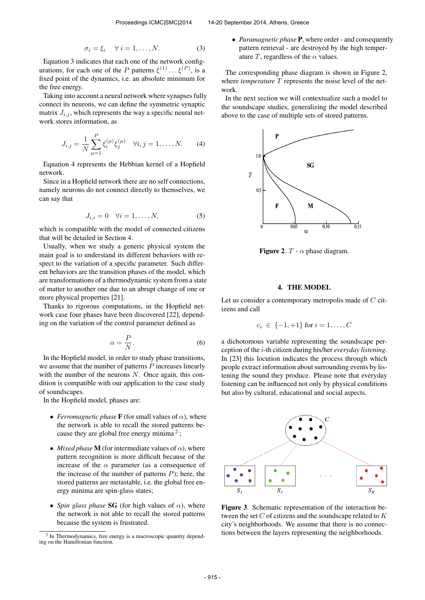$$
\sigma_i = \xi_i \quad \forall \ i = 1, \dots, N. \tag{3}
$$

Equation 3 indicates that each one of the network configurations, for each one of the P patterns  $\xi^{(1)} \dots \xi^{(P)}$ , is a fixed point of the dynamics, i.e. an absolute minimum for the free energy.

Taking into account a neural network where synapses fully connect its neurons, we can define the symmetric synaptic matrix  $J_{i,j}$ , which represents the way a specific neural network stores information, as

$$
J_{i,j} = \frac{1}{N} \sum_{\mu=1}^{P} \xi_i^{(\mu)} \xi_j^{(\mu)} \quad \forall i, j = 1, ..., N.
$$
 (4)

Equation 4 represents the Hebbian kernel of a Hopfield network.

Since in a Hopfield network there are no self connections, namely neurons do not connect directly to themselves, we can say that

$$
J_{i,i} = 0 \quad \forall i = 1, \dots, N,
$$

which is compatible with the model of connected citizens that will be detailed in Section 4.

Usually, when we study a generic physical system the main goal is to understand its different behaviors with respect to the variation of a specific parameter. Such different behaviors are the transition phases of the model, which are transformations of a thermodynamic system from a state of matter to another one due to an abrupt change of one or more physical properties [21].

Thanks to rigorous computations, in the Hopfield network case four phases have been discovered [22], depending on the variation of the control parameter defined as

$$
\alpha = \frac{P}{N}.\tag{6}
$$

In the Hopfield model, in order to study phase transitions, we assume that the number of patterns  $P$  increases linearly with the number of the neurons  $N$ . Once again, this condition is compatible with our application to the case study of soundscapes.

In the Hopfield model, phases are:

- *Ferromagnetic phase* **F** (for small values of  $\alpha$ ), where the network is able to recall the stored patterns because they are global free energy minima<sup>2</sup>;
- *Mixed phase* **M** (for intermediate values of  $\alpha$ ), where pattern recognition is more difficult because of the increase of the  $\alpha$  parameter (as a consequence of the increase of the number of patterns  $P$ ); here, the stored patterns are metastable, i.e. the global free energy minima are spin-glass states;
- *Spin glass phase* **SG** (for high values of  $\alpha$ ), where the network is not able to recall the stored patterns because the system is frustrated.

• *Paramagnetic phase* P, where order - and consequently pattern retrieval - are destroyed by the high temperature T, regardless of the  $\alpha$  values.

The corresponding phase diagram is shown in Figure 2, where *temperature* T represents the noise level of the network.

In the next section we will contextualize such a model to the soundscape studies, generalizing the model described above to the case of multiple sets of stored patterns.



Figure 2.  $T - \alpha$  phase diagram.

# 4. THE MODEL

Let us consider a contemporary metropolis made of C citizens and call

$$
c_i \in \{-1, +1\}
$$
 for  $i = 1, ..., C$ 

a dichotomous variable representing the soundscape perception of the i-th citizen during his/her *everyday listening*. In [23] this locution indicates the process through which people extract information about surrounding events by listening the sound they produce. Please note that everyday listening can be influenced not only by physical conditions but also by cultural, educational and social aspects.



Figure 3. Schematic representation of the interaction between the set  $C$  of citizens and the soundscape related to  $K$ city's neighborhoods. We assume that there is no connections between the layers representing the neighborhoods.

<sup>&</sup>lt;sup>2</sup> In Thermodynamics, free energy is a macroscopic quantity depending on the Hamiltonian function.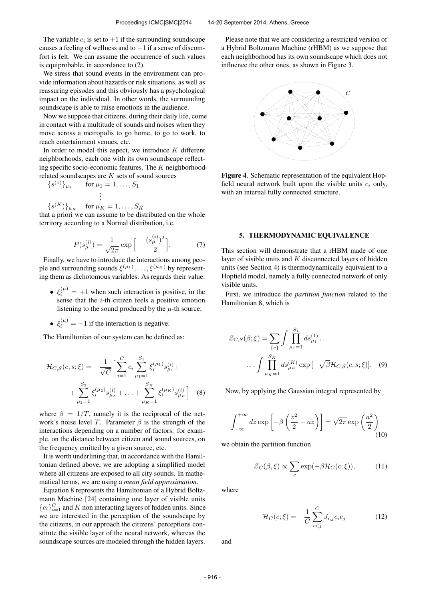The variable  $c_i$  is set to  $+1$  if the surrounding soundscape causes a feeling of wellness and to  $-1$  if a sense of discomfort is felt. We can assume the occurrence of such values is equiprobable, in accordance to (2).

We stress that sound events in the environment can provide information about hazards or risk situations, as well as reassuring episodes and this obviously has a psychological impact on the individual. In other words, the surrounding soundscape is able to raise emotions in the audience.

Now we suppose that citizens, during their daily life, come in contact with a multitude of sounds and noises when they move across a metropolis to go home, to go to work, to reach entertainment venues, etc.

In order to model this aspect, we introduce  $K$  different neighborhoods, each one with its own soundscape reflecting specific socio-economic features. The  $K$  neighborhoodrelated soundscapes are K sets of sound sources

$$
{s^{(1)}}_{\mu_1} \quad \text{for } \mu_1 = 1, \ldots, S_1
$$

$$
\vdots
$$

.

 $\{s^{(K)}\}_{\mu_K}$  for  $\mu_K = 1, ..., S_K$ 

that a priori we can assume to be distributed on the whole territory according to a Normal distribution, i.e.

$$
P(s_{\mu}^{(i)}) = \frac{1}{\sqrt{2\pi}} \exp\left[-\frac{(s_{\mu}^{(i)})^2}{2}\right].
$$
 (7)

Finally, we have to introduce the interactions among people and surrounding sounds  $\xi^{(\mu_1)}, \dots, \xi^{(\mu_K)}$  by representing them as dichotomous variables. As regards their value:

- $\xi_i^{(\mu)} = +1$  when such interaction is positive, in the sense that the *i*-th citizen feels a positive emotion listening to the sound produced by the  $\mu$ -th source;
- $\xi_i^{(\mu)} = -1$  if the interaction is negative.

The Hamiltonian of our system can be defined as:

$$
\mathcal{H}_{C,S}(c,s;\xi) = -\frac{1}{\sqrt{C}} \Big[ \sum_{i=1}^{C} c_i \sum_{\mu_1=1}^{S_1} \xi_i^{(\mu_1)} s_{\mu_1}^{(i)} + \\ + \sum_{\mu_2=1}^{S_2} \xi_i^{(\mu_2)} s_{\mu_2}^{(i)} + \ldots + \sum_{\mu_K=1}^{S_K} \xi_i^{(\mu_K)} s_{\mu_K}^{(i)} \Big] \quad (8)
$$

where  $\beta = 1/T$ , namely it is the reciprocal of the network's noise level T. Parameter  $\beta$  is the strength of the interactions depending on a number of factors: for example, on the distance between citizen and sound sources, on the frequency emitted by a given source, etc.

It is worth underlining that, in accordance with the Hamiltonian defined above, we are adopting a simplified model where all citizens are exposed to all city sounds. In mathematical terms, we are using a *mean field approximation*.

Equation 8 represents the Hamiltonian of a Hybrid Boltzmann Machine [24] containing one layer of visible units  ${c_i}_{i=1}^C$  and K non interacting layers of hidden units. Since we are interested in the perception of the soundscape by the citizens, in our approach the citizens' perceptions constitute the visible layer of the neural network, whereas the soundscape sources are modeled through the hidden layers.

Please note that we are considering a restricted version of a Hybrid Boltzmann Machine (rHBM) as we suppose that each neighborhood has its own soundscape which does not influence the other ones, as shown in Figure 3.



Figure 4. Schematic representation of the equivalent Hopfield neural network built upon the visible units  $c_i$  only, with an internal fully connected structure.

## 5. THERMODYNAMIC EQUIVALENCE

This section will demonstrate that a rHBM made of one layer of visible units and  $K$  disconnected layers of hidden units (see Section 4) is thermodynamically equivalent to a Hopfield model, namely a fully connected network of only visible units.

First, we introduce the *partition function* related to the Hamiltonian 8, which is

$$
\mathcal{Z}_{C,S}(\beta;\xi) = \sum_{\{c\}} \int \prod_{\mu_1=1}^{S_1} ds_{\mu_1}^{(1)} \dots
$$

$$
\dots \int \prod_{\mu_K=1}^{S_K} ds_{\mu_K}^{(K)} \exp[-\sqrt{\beta} \mathcal{H}_{C,S}(c,s;\xi)]. \quad (9)
$$

Now, by applying the Gaussian integral represented by

$$
\int_{-\infty}^{+\infty} dz \exp\left[-\beta \left(\frac{z^2}{2} - az\right)\right] = \sqrt{2\pi} \exp\left(\frac{a^2}{2}\right)
$$
\n(10)

we obtain the partition function

$$
\mathcal{Z}_C(\beta,\xi) \propto \sum_c \exp(-\beta \mathcal{H}_C(c;\xi)),\tag{11}
$$

where

$$
\mathcal{H}_C(c;\xi) = -\frac{1}{C} \sum_{i
$$

and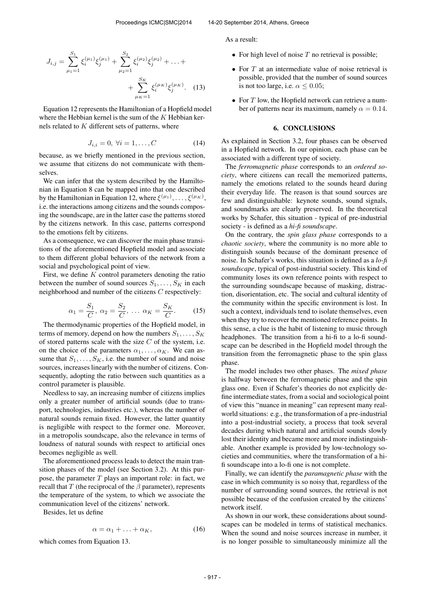$$
J_{i,j} = \sum_{\mu_1=1}^{S_1} \xi_i^{(\mu_1)} \xi_j^{(\mu_1)} + \sum_{\mu_2=1}^{S_2} \xi_i^{(\mu_2)} \xi_j^{(\mu_2)} + \dots + \newline + \sum_{\mu_K=1}^{S_K} \xi_i^{(\mu_K)} \xi_j^{(\mu_K)}.
$$
 (13)

Equation 12 represents the Hamiltonian of a Hopfield model where the Hebbian kernel is the sum of the  $K$  Hebbian kernels related to  $K$  different sets of patterns, where

$$
J_{i,i} = 0, \ \forall i = 1, \dots, C \tag{14}
$$

because, as we briefly mentioned in the previous section, we assume that citizens do not communicate with themselves.

We can infer that the system described by the Hamiltonian in Equation 8 can be mapped into that one described by the Hamiltonian in Equation 12, where  $\xi^{(\mu_1)}, \ldots, \xi^{(\mu_K)}$ , i.e. the interactions among citizens and the sounds composing the soundscape, are in the latter case the patterns stored by the citizens network. In this case, patterns correspond to the emotions felt by citizens.

As a consequence, we can discover the main phase transitions of the aforementioned Hopfield model and associate to them different global behaviors of the network from a social and psychological point of view.

First, we define  $K$  control parameters denoting the ratio between the number of sound sources  $S_1, \ldots, S_K$  in each neighborhood and number of the citizens C respectively:

$$
\alpha_1 = \frac{S_1}{C}, \ \alpha_2 = \frac{S_2}{C}, \ \dots \ \alpha_K = \frac{S_K}{C}.
$$
 (15)

The thermodynamic properties of the Hopfield model, in terms of memory, depend on how the numbers  $S_1, \ldots, S_K$ of stored patterns scale with the size  $C$  of the system, i.e. on the choice of the parameters  $\alpha_1, \ldots, \alpha_K$ . We can assume that  $S_1, \ldots, S_K$ , i.e. the number of sound and noise sources, increases linearly with the number of citizens. Consequently, adopting the ratio between such quantities as a control parameter is plausible.

Needless to say, an increasing number of citizens implies only a greater number of artificial sounds (due to transport, technologies, industries etc.), whereas the number of natural sounds remain fixed. However, the latter quantity is negligible with respect to the former one. Moreover, in a metropolis soundscape, also the relevance in terms of loudness of natural sounds with respect to artificial ones becomes negligible as well.

The aforementioned process leads to detect the main transition phases of the model (see Section 3.2). At this purpose, the parameter  $T$  plays an important role: in fact, we recall that  $T$  (the reciprocal of the  $\beta$  parameter), represents the temperature of the system, to which we associate the communication level of the citizens' network.

Besides, let us define

$$
\alpha = \alpha_1 + \ldots + \alpha_K, \tag{16}
$$

which comes from Equation 13.

As a result:

- For high level of noise  $T$  no retrieval is possible;
- For  $T$  at an intermediate value of noise retrieval is possible, provided that the number of sound sources is not too large, i.e.  $\alpha \leq 0.05$ ;
- For  $T$  low, the Hopfield network can retrieve a number of patterns near its maximum, namely  $\alpha = 0.14$ .

# 6. CONCLUSIONS

As explained in Section 3.2, four phases can be observed in a Hopfield network. In our opinion, each phase can be associated with a different type of society.

The *ferromagnetic phase* corresponds to an *ordered society*, where citizens can recall the memorized patterns, namely the emotions related to the sounds heard during their everyday life. The reason is that sound sources are few and distinguishable: keynote sounds, sound signals, and soundmarks are clearly preserved. In the theoretical works by Schafer, this situation - typical of pre-industrial society - is defined as a *hi-fi soundscape*.

On the contrary, the *spin glass phase* corresponds to a *chaotic society*, where the community is no more able to distinguish sounds because of the dominant presence of noise. In Schafer's works, this situation is defined as a *lo-fi soundscape*, typical of post-industrial society. This kind of community loses its own reference points with respect to the surrounding soundscape because of masking, distraction, disorientation, etc. The social and cultural identity of the community within the specific environment is lost. In such a context, individuals tend to isolate themselves, even when they try to recover the mentioned reference points. In this sense, a clue is the habit of listening to music through headphones. The transition from a hi-fi to a lo-fi soundscape can be described in the Hopfield model through the transition from the ferromagnetic phase to the spin glass phase.

The model includes two other phases. The *mixed phase* is halfway between the ferromagnetic phase and the spin glass one. Even if Schafer's theories do not explicitly define intermediate states, from a social and sociological point of view this "nuance in meaning" can represent many realworld situations: e.g., the transformation of a pre-industrial into a post-industrial society, a process that took several decades during which natural and artificial sounds slowly lost their identity and became more and more indistinguishable. Another example is provided by low-technology societies and communities, where the transformation of a hifi soundscape into a lo-fi one is not complete.

Finally, we can identify the *paramagnetic phase* with the case in which community is so noisy that, regardless of the number of surrounding sound sources, the retrieval is not possible because of the confusion created by the citizens' network itself.

As shown in our work, these considerations about soundscapes can be modeled in terms of statistical mechanics. When the sound and noise sources increase in number, it is no longer possible to simultaneously minimize all the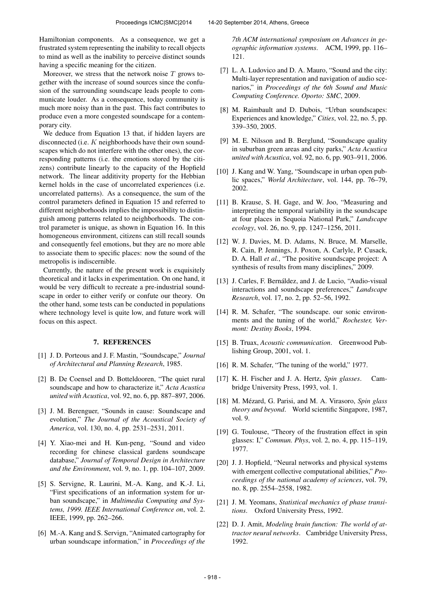Hamiltonian components. As a consequence, we get a frustrated system representing the inability to recall objects to mind as well as the inability to perceive distinct sounds having a specific meaning for the citizen.

Moreover, we stress that the network noise  $T$  grows together with the increase of sound sources since the confusion of the surrounding soundscape leads people to communicate louder. As a consequence, today community is much more noisy than in the past. This fact contributes to produce even a more congested soundscape for a contemporary city.

We deduce from Equation 13 that, if hidden layers are disconnected (i.e. K neighborhoods have their own soundscapes which do not interfere with the other ones), the corresponding patterns (i.e. the emotions stored by the citizens) contribute linearly to the capacity of the Hopfield network. The linear additivity property for the Hebbian kernel holds in the case of uncorrelated experiences (i.e. uncorrelated patterns). As a consequence, the sum of the control parameters defined in Equation 15 and referred to different neighborhoods implies the impossibility to distinguish among patterns related to neighborhoods. The control parameter is unique, as shown in Equation 16. In this homogeneous environment, citizens can still recall sounds and consequently feel emotions, but they are no more able to associate them to specific places: now the sound of the metropolis is indiscernible.

Currently, the nature of the present work is exquisitely theoretical and it lacks in experimentation. On one hand, it would be very difficult to recreate a pre-industrial soundscape in order to either verify or confute our theory. On the other hand, some tests can be conducted in populations where technology level is quite low, and future work will focus on this aspect.

## 7. REFERENCES

- [1] J. D. Porteous and J. F. Mastin, "Soundscape," *Journal of Architectural and Planning Research*, 1985.
- [2] B. De Coensel and D. Botteldooren, "The quiet rural soundscape and how to characterize it," *Acta Acustica united with Acustica*, vol. 92, no. 6, pp. 887–897, 2006.
- [3] J. M. Berenguer, "Sounds in cause: Soundscape and evolution," *The Journal of the Acoustical Society of America*, vol. 130, no. 4, pp. 2531–2531, 2011.
- [4] Y. Xiao-mei and H. Kun-peng, "Sound and video recording for chinese classical gardens soundscape database," *Journal of Temporal Design in Architecture and the Environment*, vol. 9, no. 1, pp. 104–107, 2009.
- [5] S. Servigne, R. Laurini, M.-A. Kang, and K.-J. Li, "First specifications of an information system for urban soundscape," in *Multimedia Computing and Systems, 1999. IEEE International Conference on*, vol. 2. IEEE, 1999, pp. 262–266.
- [6] M.-A. Kang and S. Servign, "Animated cartography for urban soundscape information," in *Proceedings of the*

*7th ACM international symposium on Advances in geographic information systems*. ACM, 1999, pp. 116– 121.

- [7] L. A. Ludovico and D. A. Mauro, "Sound and the city: Multi-layer representation and navigation of audio scenarios," in *Proceedings of the 6th Sound and Music Computing Conference. Oporto: SMC*, 2009.
- [8] M. Raimbault and D. Dubois, "Urban soundscapes: Experiences and knowledge," *Cities*, vol. 22, no. 5, pp. 339–350, 2005.
- [9] M. E. Nilsson and B. Berglund, "Soundscape quality in suburban green areas and city parks," *Acta Acustica united with Acustica*, vol. 92, no. 6, pp. 903–911, 2006.
- [10] J. Kang and W. Yang, "Soundscape in urban open public spaces," *World Architecture*, vol. 144, pp. 76–79, 2002.
- [11] B. Krause, S. H. Gage, and W. Joo, "Measuring and interpreting the temporal variability in the soundscape at four places in Sequoia National Park," *Landscape ecology*, vol. 26, no. 9, pp. 1247–1256, 2011.
- [12] W. J. Davies, M. D. Adams, N. Bruce, M. Marselle, R. Cain, P. Jennings, J. Poxon, A. Carlyle, P. Cusack, D. A. Hall *et al.*, "The positive soundscape project: A synthesis of results from many disciplines," 2009.
- [13] J. Carles, F. Bernáldez, and J. de Lucio, "Audio-visual interactions and soundscape preferences," *Landscape Research*, vol. 17, no. 2, pp. 52–56, 1992.
- [14] R. M. Schafer, "The soundscape. our sonic environments and the tuning of the world," *Rochester, Vermont: Destiny Books*, 1994.
- [15] B. Truax, *Acoustic communication*. Greenwood Publishing Group, 2001, vol. 1.
- [16] R. M. Schafer, "The tuning of the world," 1977.
- [17] K. H. Fischer and J. A. Hertz, *Spin glasses*. Cambridge University Press, 1993, vol. 1.
- [18] M. Mézard, G. Parisi, and M. A. Virasoro, Spin glass *theory and beyond*. World scientific Singapore, 1987, vol. 9.
- [19] G. Toulouse, "Theory of the frustration effect in spin glasses: I," *Commun. Phys*, vol. 2, no. 4, pp. 115–119, 1977.
- [20] J. J. Hopfield, "Neural networks and physical systems with emergent collective computational abilities," *Proceedings of the national academy of sciences*, vol. 79, no. 8, pp. 2554–2558, 1982.
- [21] J. M. Yeomans, *Statistical mechanics of phase transitions*. Oxford University Press, 1992.
- [22] D. J. Amit, *Modeling brain function: The world of attractor neural networks*. Cambridge University Press, 1992.